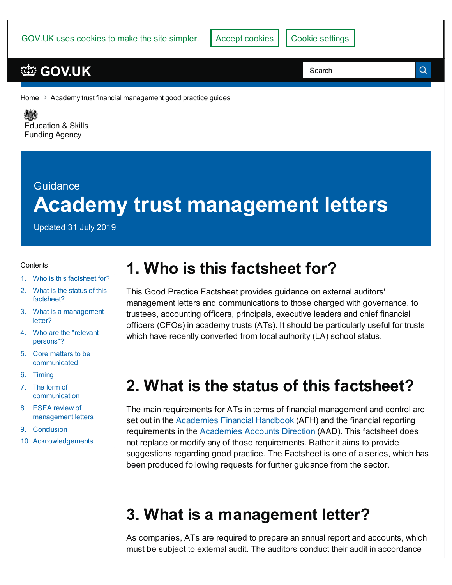GOV.UK uses cookies to make the site simpler.

### **[GOV.UK](https://www.gov.uk)**

Search

Q

[Home](https://www.gov.uk/)  $\geq$  Academy trust financial [management](https://www.gov.uk/government/publications/academy-trust-financial-management-good-practice-guides) good practice guides

《感》 [Education](https://www.gov.uk/government/organisations/education-and-skills-funding-agency) & Skills **Funding Agency** 

# Guidance **Academy trust management letters**

Updated 31 July 2019

#### **Contents**

- 1. Who is this [factsheet](#page-0-0) for?
- 2. What is the status of this [factsheet?](#page-0-1)
- 3. What is a [management](#page-0-2) letter?
- 4. Who are the "relevant [persons"?](#page-1-0)
- 5. Core matters to be [communicated](#page-2-0)
- 6. [Timing](#page-3-0)
- 7. The form of [communication](#page-5-0)
- 8. ESFA review of [management](#page-7-0) letters
- 9. [Conclusion](#page-7-1)
- 10. [Acknowledgements](#page-7-2)

## <span id="page-0-0"></span>**1. Who is this factsheet for?**

This Good Practice Factsheet provides guidance on external auditors' management letters and communications to those charged with governance, to trustees, accounting officers, principals, executive leaders and chief financial officers (CFOs) in academy trusts (ATs). It should be particularly useful for trusts which have recently converted from local authority (LA) school status.

### <span id="page-0-1"></span>**2. What is the status of this factsheet?**

The main requirements for ATs in terms of financial management and control are set out in the [Academies](https://www.gov.uk/government/publications/academies-financial-handbook) Financial Handbook (AFH) and the financial reporting requirements in the [Academies](https://www.gov.uk/guidance/academies-accounts-direction) Accounts Direction (AAD). This factsheet does not replace or modify any of those requirements. Rather it aims to provide suggestions regarding good practice. The Factsheet is one of a series, which has been produced following requests for further guidance from the sector.

### <span id="page-0-2"></span>**3. What is a management letter?**

As companies, ATs are required to prepare an annual report and accounts, which must be subject to external audit. The auditors conduct their audit in accordance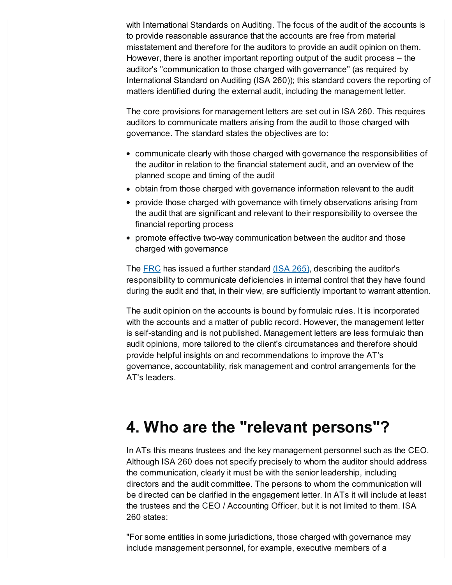with International Standards on Auditing. The focus of the audit of the accounts is to provide reasonable assurance that the accounts are free from material misstatement and therefore for the auditors to provide an audit opinion on them. However, there is another important reporting output of the audit process – the auditor's "communication to those charged with governance" (as required by International Standard on Auditing (ISA 260)); this standard covers the reporting of matters identified during the external audit, including the management letter.

The core provisions for management letters are set out in ISA 260. This requires auditors to communicate matters arising from the audit to those charged with governance. The standard states the objectives are to:

- communicate clearly with those charged with governance the responsibilities of the auditor in relation to the financial statement audit, and an overview of the planned scope and timing of the audit
- obtain from those charged with governance information relevant to the audit
- provide those charged with governance with timely observations arising from the audit that are significant and relevant to their responsibility to oversee the financial reporting process
- promote effective two-way communication between the auditor and those charged with governance

The [FRC](https://www.frc.org.uk/) has issued a further standard [\(ISA](https://www.frc.org.uk/getattachment/1c8dad71-bc4f-43e8-a2f3-a69e92236982/ISA-(UK)-265.pdf) 265), describing the auditor's responsibility to communicate deficiencies in internal control that they have found during the audit and that, in their view, are sufficiently important to warrant attention.

The audit opinion on the accounts is bound by formulaic rules. It is incorporated with the accounts and a matter of public record. However, the management letter is self-standing and is not published. Management letters are less formulaic than audit opinions, more tailored to the client's circumstances and therefore should provide helpful insights on and recommendations to improve the AT's governance, accountability, risk management and control arrangements for the AT's leaders.

## <span id="page-1-0"></span>**4. Who are the "relevant persons"?**

In ATs this means trustees and the key management personnel such as the CEO. Although ISA 260 does not specify precisely to whom the auditor should address the communication, clearly it must be with the senior leadership, including directors and the audit committee. The persons to whom the communication will be directed can be clarified in the engagement letter. In ATs it will include at least the trustees and the CEO / Accounting Officer, but it is not limited to them. ISA 260 states:

"For some entities in some jurisdictions, those charged with governance may include management personnel, for example, executive members of a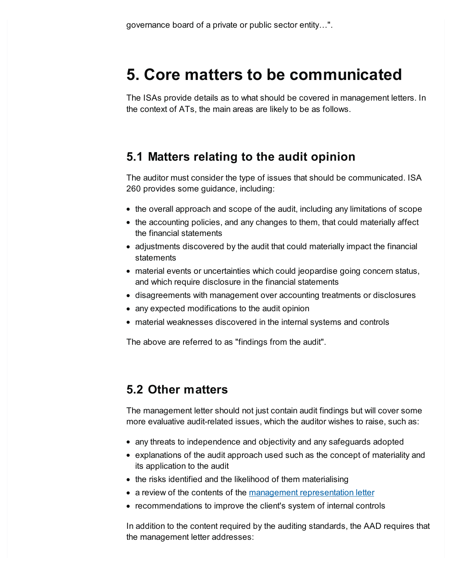### <span id="page-2-0"></span>**5. Core matters to be communicated**

The ISAs provide details as to what should be covered in management letters. In the context of ATs, the main areas are likely to be as follows.

### **5.1 Matters relating to the audit opinion**

The auditor must consider the type of issues that should be communicated. ISA 260 provides some guidance, including:

- the overall approach and scope of the audit, including any limitations of scope
- the accounting policies, and any changes to them, that could materially affect the financial statements
- adjustments discovered by the audit that could materially impact the financial statements
- material events or uncertainties which could jeopardise going concern status, and which require disclosure in the financial statements
- disagreements with management over accounting treatments or disclosures
- any expected modifications to the audit opinion
- material weaknesses discovered in the internal systems and controls

The above are referred to as "findings from the audit".

#### **5.2 Other matters**

The management letter should not just contain audit findings but will cover some more evaluative audit-related issues, which the auditor wishes to raise, such as:

- any threats to independence and objectivity and any safeguards adopted
- explanations of the audit approach used such as the concept of materiality and its application to the audit
- the risks identified and the likelihood of them materialising
- a review of the contents of the management [representation](https://www.frc.org.uk/getattachment/f9c5ab2f-9607-4cb3-9a3f-7adba09a5b20/ISA-(UK)-580.pdf) letter
- recommendations to improve the client's system of internal controls

In addition to the content required by the auditing standards, the AAD requires that the management letter addresses: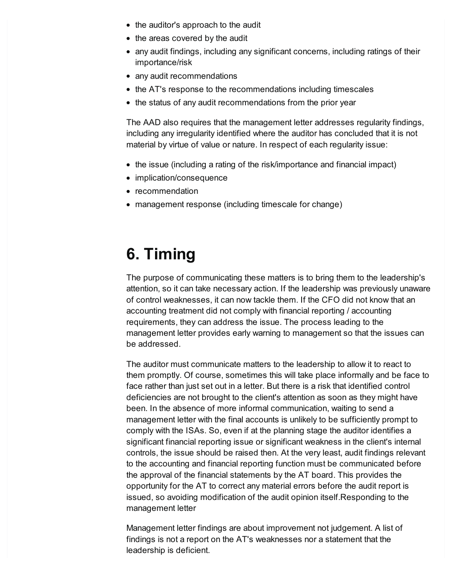- the auditor's approach to the audit
- the areas covered by the audit
- any audit findings, including any significant concerns, including ratings of their importance/risk
- any audit recommendations
- the AT's response to the recommendations including timescales
- the status of any audit recommendations from the prior year

The AAD also requires that the management letter addresses regularity findings, including any irregularity identified where the auditor has concluded that it is not material by virtue of value or nature. In respect of each regularity issue:

- the issue (including a rating of the risk/importance and financial impact)
- implication/consequence
- recommendation
- management response (including timescale for change)

### <span id="page-3-0"></span>**6. Timing**

The purpose of communicating these matters is to bring them to the leadership's attention, so it can take necessary action. If the leadership was previously unaware of control weaknesses, it can now tackle them. If the CFO did not know that an accounting treatment did not comply with financial reporting / accounting requirements, they can address the issue. The process leading to the management letter provides early warning to management so that the issues can be addressed.

The auditor must communicate matters to the leadership to allow it to react to them promptly. Of course, sometimes this will take place informally and be face to face rather than just set out in a letter. But there is a risk that identified control deficiencies are not brought to the client's attention as soon as they might have been. In the absence of more informal communication, waiting to send a management letter with the final accounts is unlikely to be sufficiently prompt to comply with the ISAs. So, even if at the planning stage the auditor identifies a significant financial reporting issue or significant weakness in the client's internal controls, the issue should be raised then. At the very least, audit findings relevant to the accounting and financial reporting function must be communicated before the approval of the financial statements by the AT board. This provides the opportunity for the AT to correct any material errors before the audit report is issued, so avoiding modification of the audit opinion itself.Responding to the management letter

Management letter findings are about improvement not judgement. A list of findings is not a report on the AT's weaknesses nor a statement that the leadership is deficient.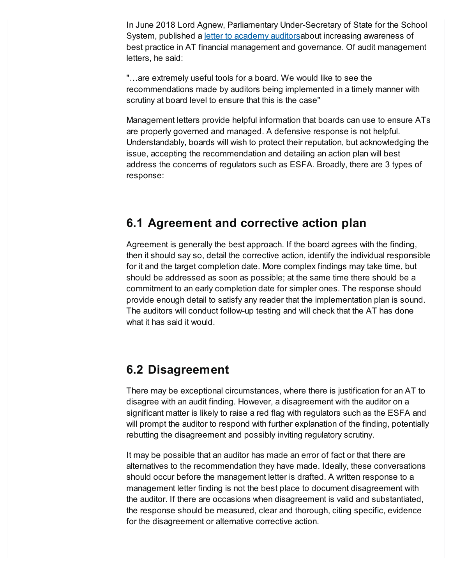In June 2018 Lord Agnew, Parliamentary Under-Secretary of State for the School System, published a *letter to [academy](https://www.gov.uk/government/publications/letter-from-lord-theodore-agnew-to-academy-trust-auditors) auditorsabout increasing awareness of* best practice in AT financial management and governance. Of audit management letters, he said:

"…are extremely useful tools for a board. We would like to see the recommendations made by auditors being implemented in a timely manner with scrutiny at board level to ensure that this is the case"

Management letters provide helpful information that boards can use to ensure ATs are properly governed and managed. A defensive response is not helpful. Understandably, boards will wish to protect their reputation, but acknowledging the issue, accepting the recommendation and detailing an action plan will best address the concerns of regulators such as ESFA. Broadly, there are 3 types of response:

#### **6.1 Agreement and corrective action plan**

Agreement is generally the best approach. If the board agrees with the finding, then it should say so, detail the corrective action, identify the individual responsible for it and the target completion date. More complex findings may take time, but should be addressed as soon as possible; at the same time there should be a commitment to an early completion date for simpler ones. The response should provide enough detail to satisfy any reader that the implementation plan is sound. The auditors will conduct follow-up testing and will check that the AT has done what it has said it would.

#### **6.2 Disagreement**

There may be exceptional circumstances, where there is justification for an AT to disagree with an audit finding. However, a disagreement with the auditor on a significant matter is likely to raise a red flag with regulators such as the ESFA and will prompt the auditor to respond with further explanation of the finding, potentially rebutting the disagreement and possibly inviting regulatory scrutiny.

It may be possible that an auditor has made an error of fact or that there are alternatives to the recommendation they have made. Ideally, these conversations should occur before the management letter is drafted. A written response to a management letter finding is not the best place to document disagreement with the auditor. If there are occasions when disagreement is valid and substantiated, the response should be measured, clear and thorough, citing specific, evidence for the disagreement or alternative corrective action.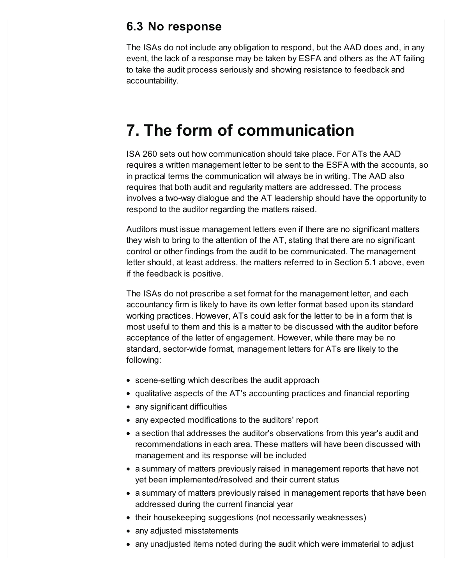#### **6.3 No response**

The ISAs do not include any obligation to respond, but the AAD does and, in any event, the lack of a response may be taken by ESFA and others as the AT failing to take the audit process seriously and showing resistance to feedback and accountability.

### <span id="page-5-0"></span>**7. The form of communication**

ISA 260 sets out how communication should take place. For ATs the AAD requires a written management letter to be sent to the ESFA with the accounts, so in practical terms the communication will always be in writing. The AAD also requires that both audit and regularity matters are addressed. The process involves a two-way dialogue and the AT leadership should have the opportunity to respond to the auditor regarding the matters raised.

Auditors must issue management letters even if there are no significant matters they wish to bring to the attention of the AT, stating that there are no significant control or other findings from the audit to be communicated. The management letter should, at least address, the matters referred to in Section 5.1 above, even if the feedback is positive.

The ISAs do not prescribe a set format for the management letter, and each accountancy firm is likely to have its own letter format based upon its standard working practices. However, ATs could ask for the letter to be in a form that is most useful to them and this is a matter to be discussed with the auditor before acceptance of the letter of engagement. However, while there may be no standard, sector-wide format, management letters for ATs are likely to the following:

- scene-setting which describes the audit approach
- qualitative aspects of the AT's accounting practices and financial reporting
- any significant difficulties
- any expected modifications to the auditors' report
- a section that addresses the auditor's observations from this year's audit and recommendations in each area. These matters will have been discussed with management and its response will be included
- a summary of matters previously raised in management reports that have not yet been implemented/resolved and their current status
- a summary of matters previously raised in management reports that have been addressed during the current financial year
- their housekeeping suggestions (not necessarily weaknesses)
- any adjusted misstatements
- any unadjusted items noted during the audit which were immaterial to adjust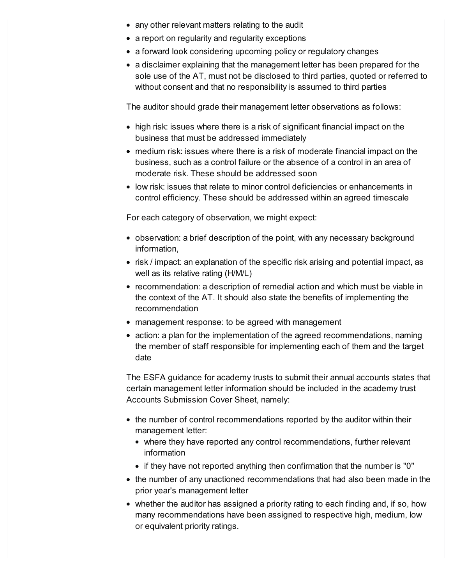- any other relevant matters relating to the audit
- a report on regularity and regularity exceptions
- a forward look considering upcoming policy or regulatory changes
- a disclaimer explaining that the management letter has been prepared for the sole use of the AT, must not be disclosed to third parties, quoted or referred to without consent and that no responsibility is assumed to third parties

The auditor should grade their management letter observations as follows:

- high risk: issues where there is a risk of significant financial impact on the business that must be addressed immediately
- medium risk: issues where there is a risk of moderate financial impact on the business, such as a control failure or the absence of a control in an area of moderate risk. These should be addressed soon
- low risk: issues that relate to minor control deficiencies or enhancements in control efficiency. These should be addressed within an agreed timescale

For each category of observation, we might expect:

- observation: a brief description of the point, with any necessary background information,
- risk / impact: an explanation of the specific risk arising and potential impact, as well as its relative rating (H/M/L)
- recommendation: a description of remedial action and which must be viable in the context of the AT. It should also state the benefits of implementing the recommendation
- management response: to be agreed with management
- action: a plan for the implementation of the agreed recommendations, naming the member of staff responsible for implementing each of them and the target date

The ESFA guidance for academy trusts to submit their annual accounts states that certain management letter information should be included in the academy trust Accounts Submission Cover Sheet, namely:

- the number of control recommendations reported by the auditor within their management letter:
	- where they have reported any control recommendations, further relevant information
	- if they have not reported anything then confirmation that the number is "0"
- the number of any unactioned recommendations that had also been made in the prior year's management letter
- whether the auditor has assigned a priority rating to each finding and, if so, how many recommendations have been assigned to respective high, medium, low or equivalent priority ratings.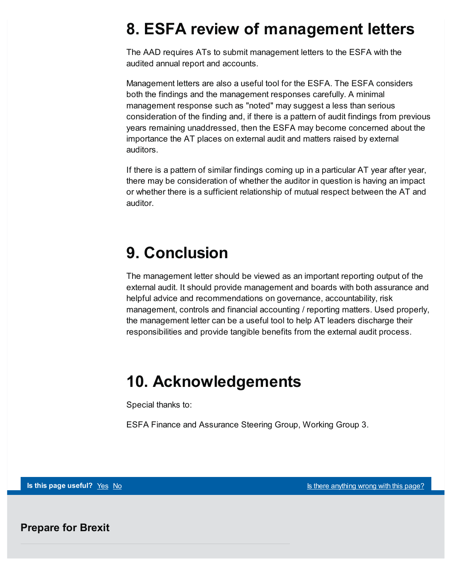### <span id="page-7-0"></span>**8. ESFA review of management letters**

The AAD requires ATs to submit management letters to the ESFA with the audited annual report and accounts.

Management letters are also a useful tool for the ESFA. The ESFA considers both the findings and the management responses carefully. A minimal management response such as "noted" may suggest a less than serious consideration of the finding and, if there is a pattern of audit findings from previous years remaining unaddressed, then the ESFA may become concerned about the importance the AT places on external audit and matters raised by external auditors.

If there is a pattern of similar findings coming up in a particular AT year after year, there may be consideration of whether the auditor in question is having an impact or whether there is a sufficient relationship of mutual respect between the AT and auditor.

## <span id="page-7-1"></span>**9. Conclusion**

The management letter should be viewed as an important reporting output of the external audit. It should provide management and boards with both assurance and helpful advice and recommendations on governance, accountability, risk management, controls and financial accounting / reporting matters. Used properly, the management letter can be a useful tool to help AT leaders discharge their responsibilities and provide tangible benefits from the external audit process.

### <span id="page-7-2"></span>**10. Acknowledgements**

Special thanks to:

ESFA Finance and Assurance Steering Group, Working Group 3.

**Is this page useful?** [Yes](https://www.gov.uk/contact/govuk) [No](https://www.gov.uk/contact/govuk) Is the No Is there [anything](https://www.gov.uk/contact/govuk) wrong with this page?

**Prepare for Brexit**